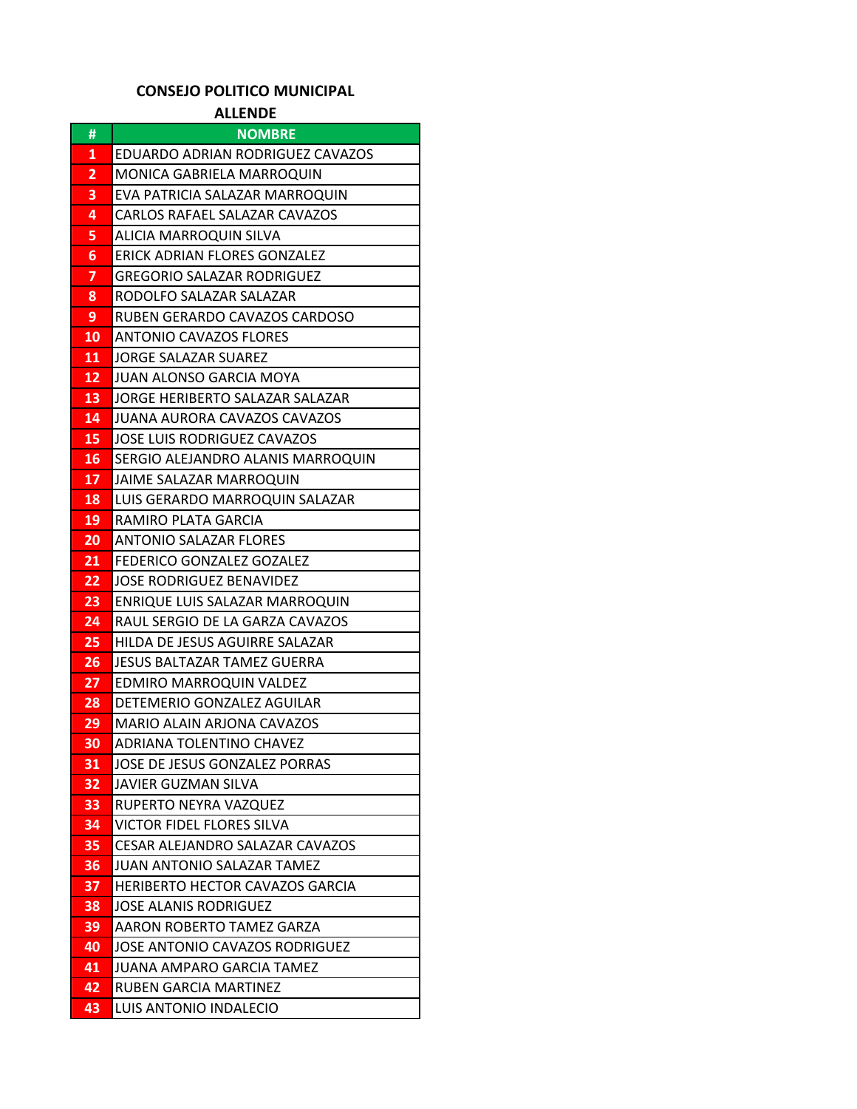## **CONSEJO POLITICO MUNICIPAL**

**ALLENDE**

| #        | <b>NOMBRE</b>                                                          |
|----------|------------------------------------------------------------------------|
| 1        | EDUARDO ADRIAN RODRIGUEZ CAVAZOS                                       |
| 2        | MONICA GABRIELA MARROQUIN                                              |
| З        | EVA PATRICIA SALAZAR MARROQUIN                                         |
| 4        | CARLOS RAFAEL SALAZAR CAVAZOS                                          |
| 5        | ALICIA MARROQUIN SILVA                                                 |
| 6        | ERICK ADRIAN FLORES GONZALEZ                                           |
| 7        | <b>GREGORIO SALAZAR RODRIGUEZ</b>                                      |
| 8        | RODOLFO SALAZAR SALAZAR                                                |
| 9        | RUBEN GERARDO CAVAZOS CARDOSO                                          |
| 10       | ANTONIO CAVAZOS FLORES                                                 |
| 11       | JORGE SALAZAR SUAREZ                                                   |
| 12       | JUAN ALONSO GARCIA MOYA                                                |
| 13       | JORGE HERIBERTO SALAZAR SALAZAR                                        |
| 14       | JUANA AURORA CAVAZOS CAVAZOS                                           |
| 15       | JOSE LUIS RODRIGUEZ CAVAZOS                                            |
| 16       | SERGIO ALEJANDRO ALANIS MARROQUIN                                      |
| 17       | JAIME SALAZAR MARROQUIN                                                |
| 18       | LUIS GERARDO MARROQUIN SALAZAR                                         |
| 19       | RAMIRO PLATA GARCIA                                                    |
| 20       | <b>ANTONIO SALAZAR FLORES</b>                                          |
| 21       | FEDERICO GONZALEZ GOZALEZ                                              |
| 22       | JOSE RODRIGUEZ BENAVIDEZ                                               |
| 23       | ENRIQUE LUIS SALAZAR MARROQUIN                                         |
| 24       | RAUL SERGIO DE LA GARZA CAVAZOS                                        |
| 25       | HILDA DE JESUS AGUIRRE SALAZAR                                         |
| 26       | <b>JESUS BALTAZAR TAMEZ GUERRA</b>                                     |
| 27       | <b>EDMIRO MARROQUIN VALDEZ</b>                                         |
| 28       | DETEMERIO GONZALEZ AGUILAR                                             |
| 29       | MARIO ALAIN ARJONA CAVAZOS                                             |
| 30       | ADRIANA TOLENTINO CHAVEZ                                               |
| 31       | JOSE DE JESUS GONZALEZ PORRAS                                          |
| 32       | JAVIER GUZMAN SILVA                                                    |
| 33       | RUPERTO NEYRA VAZQUEZ                                                  |
| 34       | <b>VICTOR FIDEL FLORES SILVA</b>                                       |
| 35       | CESAR ALEJANDRO SALAZAR CAVAZOS                                        |
| 36       | JUAN ANTONIO SALAZAR TAMEZ                                             |
| 37<br>38 | <b>HERIBERTO HECTOR CAVAZOS GARCIA</b><br><b>JOSE ALANIS RODRIGUEZ</b> |
|          | AARON ROBERTO TAMEZ GARZA                                              |
| 39<br>40 | <b>JOSE ANTONIO CAVAZOS RODRIGUEZ</b>                                  |
| 41       | JUANA AMPARO GARCIA TAMEZ                                              |
| 42       | RUBEN GARCIA MARTINEZ                                                  |
| 43       | LUIS ANTONIO INDALECIO                                                 |
|          |                                                                        |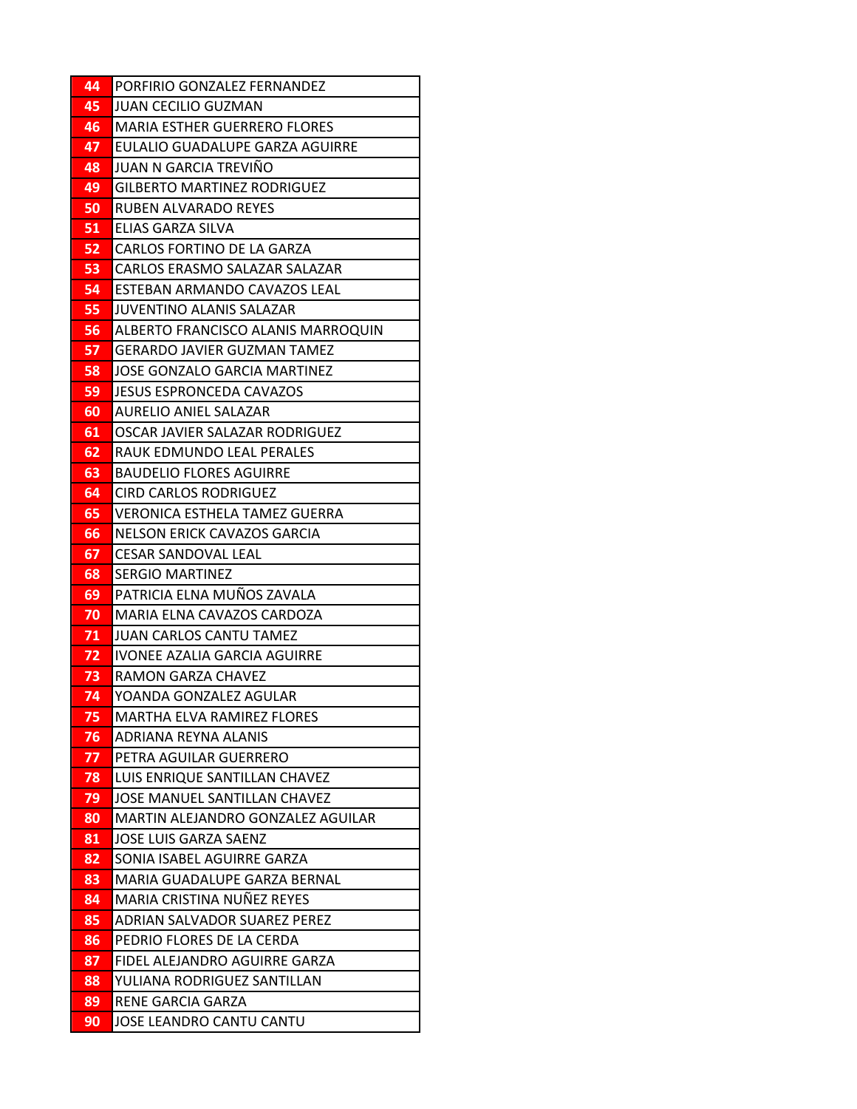| 44       | PORFIRIO GONZALEZ FERNANDEZ                                       |
|----------|-------------------------------------------------------------------|
| 45       | JUAN CECILIO GUZMAN                                               |
| 46       | <b>MARIA ESTHER GUERRERO FLORES</b>                               |
| 47       | EULALIO GUADALUPE GARZA AGUIRRE                                   |
| 48       | JUAN N GARCIA TREVIÑO                                             |
| 49       | <b>GILBERTO MARTINEZ RODRIGUEZ</b>                                |
| 50       | RUBEN ALVARADO REYES                                              |
| 51       | ELIAS GARZA SILVA                                                 |
| 52       | CARLOS FORTINO DE LA GARZA                                        |
| 53       | CARLOS ERASMO SALAZAR SALAZAR                                     |
| 54       | ESTEBAN ARMANDO CAVAZOS LEAL                                      |
| 55       | JUVENTINO ALANIS SALAZAR                                          |
| 56       | ALBERTO FRANCISCO ALANIS MARROQUIN                                |
| 57       | <b>GERARDO JAVIER GUZMAN TAMEZ</b>                                |
| 58       | JOSE GONZALO GARCIA MARTINEZ                                      |
| 59       | <b>JESUS ESPRONCEDA CAVAZOS</b>                                   |
| 60       | <b>AURELIO ANIEL SALAZAR</b>                                      |
| 61       | OSCAR JAVIER SALAZAR RODRIGUEZ                                    |
| 62       | RAUK EDMUNDO LEAL PERALES                                         |
| 63       | <b>BAUDELIO FLORES AGUIRRE</b>                                    |
| 64       | <b>CIRD CARLOS RODRIGUEZ</b>                                      |
| 65       | VERONICA ESTHELA TAMEZ GUERRA                                     |
| 66       | NELSON ERICK CAVAZOS GARCIA                                       |
| 67       | <b>CESAR SANDOVAL LEAL</b>                                        |
| 68       | <b>SERGIO MARTINEZ</b>                                            |
| 69       | PATRICIA ELNA MUÑOS ZAVALA                                        |
| 70       | MARIA ELNA CAVAZOS CARDOZA                                        |
| 71       | <b>JUAN CARLOS CANTU TAMEZ</b>                                    |
| 72       | IVONEE AZALIA GARCIA AGUIRRE                                      |
| 73       | RAMON GARZA CHAVEZ                                                |
| 74       | YOANDA GONZALEZ AGULAR                                            |
| 75       | MARTHA ELVA RAMIREZ FLORES                                        |
| 76       | ADRIANA REYNA ALANIS                                              |
| 77_      | PETRA AGUILAR GUERRERO                                            |
| 78       | LUIS ENRIQUE SANTILLAN CHAVEZ<br>JOSE MANUEL SANTILLAN CHAVEZ     |
| 79<br>80 |                                                                   |
|          | MARTIN ALEJANDRO GONZALEZ AGUILAR<br><b>JOSE LUIS GARZA SAENZ</b> |
| 81<br>82 | SONIA ISABEL AGUIRRE GARZA                                        |
| 83       | MARIA GUADALUPE GARZA BERNAL                                      |
| 84       | MARIA CRISTINA NUÑEZ REYES                                        |
| 85       | ADRIAN SALVADOR SUAREZ PEREZ                                      |
| 86       | PEDRIO FLORES DE LA CERDA                                         |
| 87       | FIDEL ALEJANDRO AGUIRRE GARZA                                     |
| 88       | YULIANA RODRIGUEZ SANTILLAN                                       |
| 89       | <b>RENE GARCIA GARZA</b>                                          |
| 90       | JOSE LEANDRO CANTU CANTU                                          |
|          |                                                                   |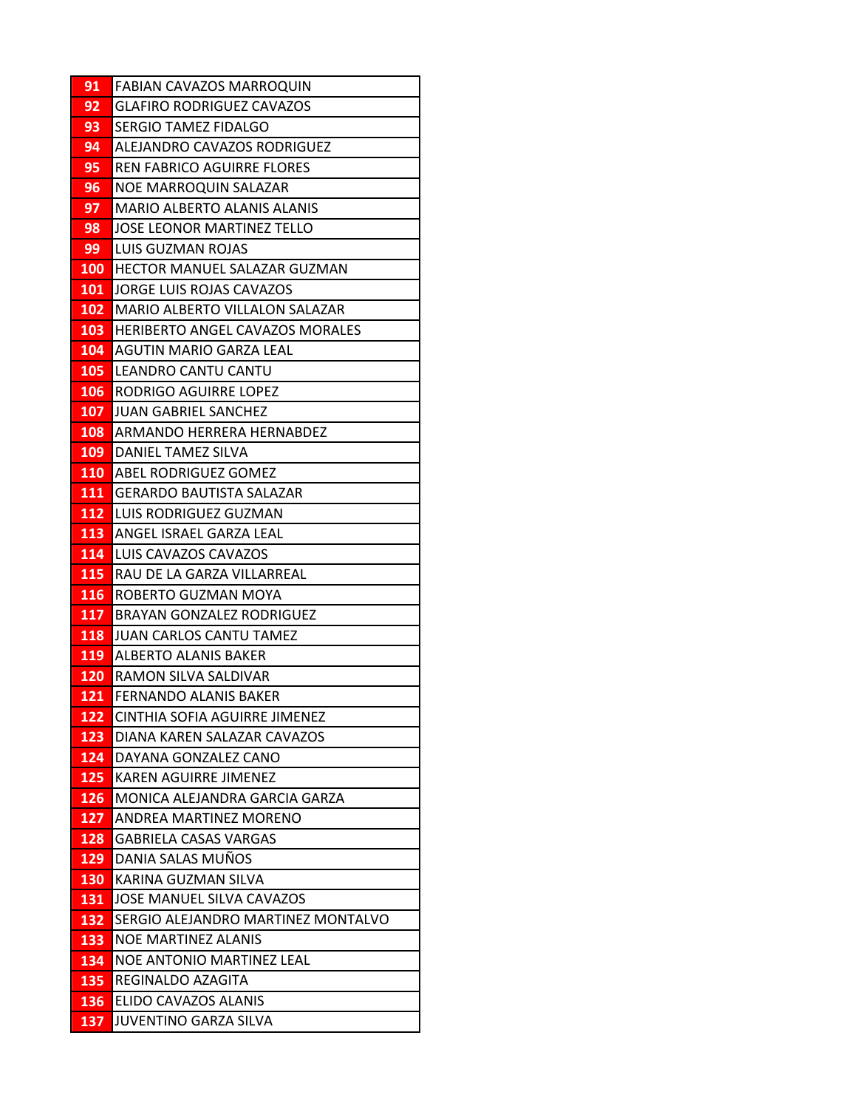| 91         | <b>FABIAN CAVAZOS MARROQUIN</b>                     |
|------------|-----------------------------------------------------|
| 92         | <b>GLAFIRO RODRIGUEZ CAVAZOS</b>                    |
| 93         | SERGIO TAMEZ FIDALGO                                |
| 94         | ALEJANDRO CAVAZOS RODRIGUEZ                         |
| 95         | REN FABRICO AGUIRRE FLORES                          |
| 96         | NOE MARROQUIN SALAZAR                               |
| 97         | MARIO ALBERTO ALANIS ALANIS                         |
| 98         | <b>JOSE LEONOR MARTINEZ TELLO</b>                   |
| 99         | LUIS GUZMAN ROJAS                                   |
| 100        | HECTOR MANUEL SALAZAR GUZMAN                        |
| <b>101</b> | JORGE LUIS ROJAS CAVAZOS                            |
| 102        | IMARIO ALBERTO VILLALON SALAZAR                     |
| 103        | <b>HERIBERTO ANGEL CAVAZOS MORALES</b>              |
| 104        | AGUTIN MARIO GARZA LEAL                             |
| 105        | LEANDRO CANTU CANTU                                 |
| 106        | RODRIGO AGUIRRE LOPEZ                               |
| 107        | <b>JUAN GABRIEL SANCHEZ</b>                         |
| 108        | ARMANDO HERRERA HERNABDEZ                           |
| 109        | DANIEL TAMEZ SILVA                                  |
| <b>110</b> | <b>ABEL RODRIGUEZ GOMEZ</b>                         |
| 111        | <b>GERARDO BAUTISTA SALAZAR</b>                     |
| 112        | LUIS RODRIGUEZ GUZMAN                               |
| 113        | ANGEL ISRAEL GARZA LEAL                             |
| 114        | LUIS CAVAZOS CAVAZOS                                |
| 115        | RAU DE LA GARZA VILLARREAL                          |
| 116        | ROBERTO GUZMAN MOYA                                 |
| 117        | <b>BRAYAN GONZALEZ RODRIGUEZ</b>                    |
| 118        | JUAN CARLOS CANTU TAMEZ                             |
| 119        | <b>ALBERTO ALANIS BAKER</b>                         |
| 120        | RAMON SILVA SALDIVAR                                |
| 121        | <b>FERNANDO ALANIS BAKER</b>                        |
| 122<br>123 | CINTHIA SOFIA AGUIRRE JIMENEZ                       |
| 124        | DIANA KAREN SALAZAR CAVAZOS<br>DAYANA GONZALEZ CANO |
| 125        | <b>KAREN AGUIRRE JIMENEZ</b>                        |
| 126        | MONICA ALEJANDRA GARCIA GARZA                       |
| 127        | ANDREA MARTINEZ MORENO                              |
| 128        | <b>GABRIELA CASAS VARGAS</b>                        |
| 129        | DANIA SALAS MUÑOS                                   |
| 130        | KARINA GUZMAN SILVA                                 |
| 131        | JOSE MANUEL SILVA CAVAZOS                           |
| 132        | SERGIO ALEJANDRO MARTINEZ MONTALVO                  |
| 133        | <b>NOE MARTINEZ ALANIS</b>                          |
| 134        | NOE ANTONIO MARTINEZ LEAL                           |
| 135        | REGINALDO AZAGITA                                   |
| 136        | ELIDO CAVAZOS ALANIS                                |
| 137        | JUVENTINO GARZA SILVA                               |
|            |                                                     |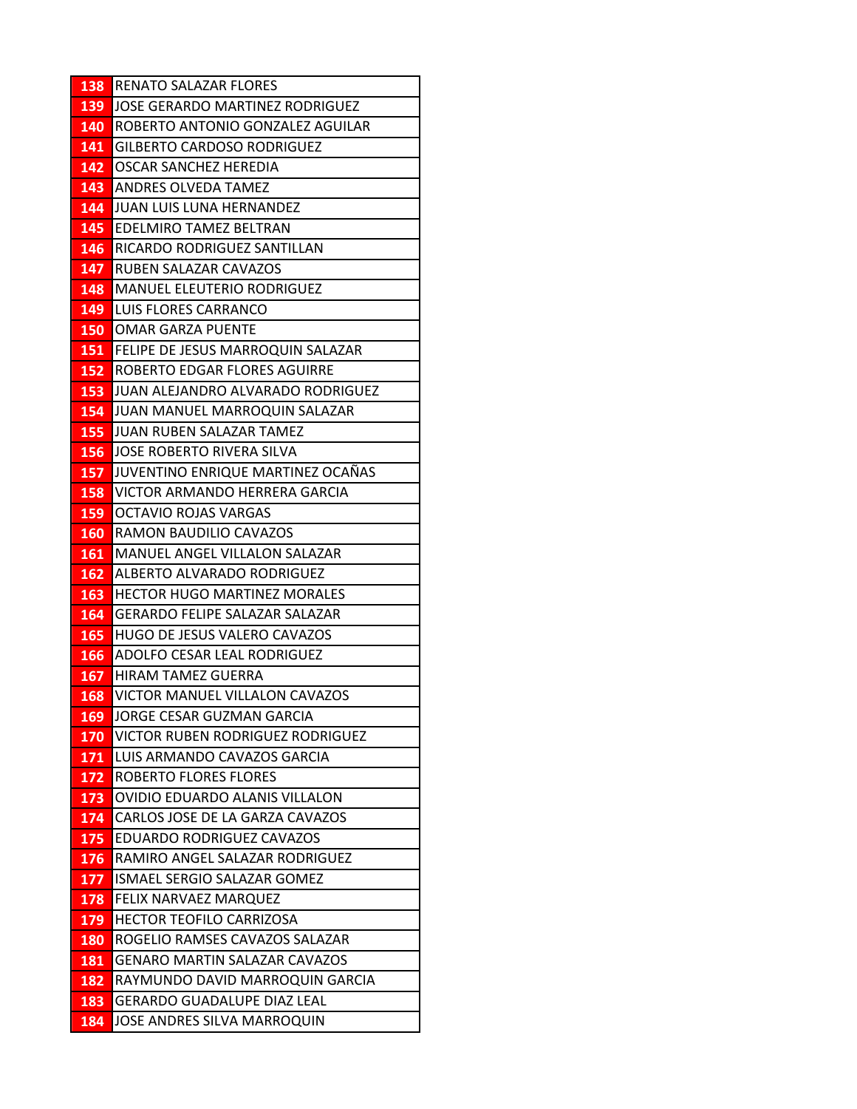| 138        | <b>RENATO SALAZAR FLORES</b>                                 |
|------------|--------------------------------------------------------------|
| 139        | JOSE GERARDO MARTINEZ RODRIGUEZ                              |
| 140        | ROBERTO ANTONIO GONZALEZ AGUILAR                             |
| 141        | <b>GILBERTO CARDOSO RODRIGUEZ</b>                            |
| 142        | OSCAR SANCHEZ HEREDIA                                        |
| 143        | ANDRES OLVEDA TAMEZ                                          |
| 144        | JUAN LUIS LUNA HERNANDEZ                                     |
| 145        | EDELMIRO TAMEZ BELTRAN                                       |
| 146        | RICARDO RODRIGUEZ SANTILLAN                                  |
| 147        | RUBEN SALAZAR CAVAZOS                                        |
| 148        | <b>MANUEL ELEUTERIO RODRIGUEZ</b>                            |
| 149        | LUIS FLORES CARRANCO                                         |
| 150        | <b>OMAR GARZA PUENTE</b>                                     |
| 151        | FELIPE DE JESUS MARROQUIN SALAZAR                            |
| 152        | ROBERTO EDGAR FLORES AGUIRRE                                 |
| 153        | JUAN ALEJANDRO ALVARADO RODRIGUEZ                            |
| 154        | JUAN MANUEL MARROQUIN SALAZAR                                |
| 155        | JUAN RUBEN SALAZAR TAMEZ                                     |
| 156        | JOSE ROBERTO RIVERA SILVA                                    |
| 157        | JUVENTINO ENRIQUE MARTINEZ OCAÑAS                            |
| 158        | VICTOR ARMANDO HERRERA GARCIA                                |
| 159        | <b>OCTAVIO ROJAS VARGAS</b>                                  |
| <b>160</b> | RAMON BAUDILIO CAVAZOS                                       |
| 161        | MANUEL ANGEL VILLALON SALAZAR                                |
| 162        | ALBERTO ALVARADO RODRIGUEZ                                   |
| 163        | <b>HECTOR HUGO MARTINEZ MORALES</b>                          |
| 164        | <b>GERARDO FELIPE SALAZAR SALAZAR</b>                        |
| 165        | HUGO DE JESUS VALERO CAVAZOS                                 |
| 166        | ADOLFO CESAR LEAL RODRIGUEZ                                  |
| 167        | <b>HIRAM TAMEZ GUERRA</b>                                    |
| 168        | VICTOR MANUEL VILLALON CAVAZOS                               |
| 169        | JORGE CESAR GUZMAN GARCIA                                    |
| 170        | VICTOR RUBEN RODRIGUEZ RODRIGUEZ                             |
| 171        | LUIS ARMANDO CAVAZOS GARCIA                                  |
| 172        | <b>ROBERTO FLORES FLORES</b>                                 |
| 173        | OVIDIO EDUARDO ALANIS VILLALON                               |
| 174        | CARLOS JOSE DE LA GARZA CAVAZOS<br>EDUARDO RODRIGUEZ CAVAZOS |
| 175<br>176 | RAMIRO ANGEL SALAZAR RODRIGUEZ                               |
| 177        | ISMAEL SERGIO SALAZAR GOMEZ                                  |
| 178        | FELIX NARVAEZ MARQUEZ                                        |
| 179        | <b>HECTOR TEOFILO CARRIZOSA</b>                              |
| 180        | ROGELIO RAMSES CAVAZOS SALAZAR                               |
| 181        | <b>GENARO MARTIN SALAZAR CAVAZOS</b>                         |
| 182        | RAYMUNDO DAVID MARROQUIN GARCIA                              |
| 183        | <b>GERARDO GUADALUPE DIAZ LEAL</b>                           |
| 184        | JOSE ANDRES SILVA MARROQUIN                                  |
|            |                                                              |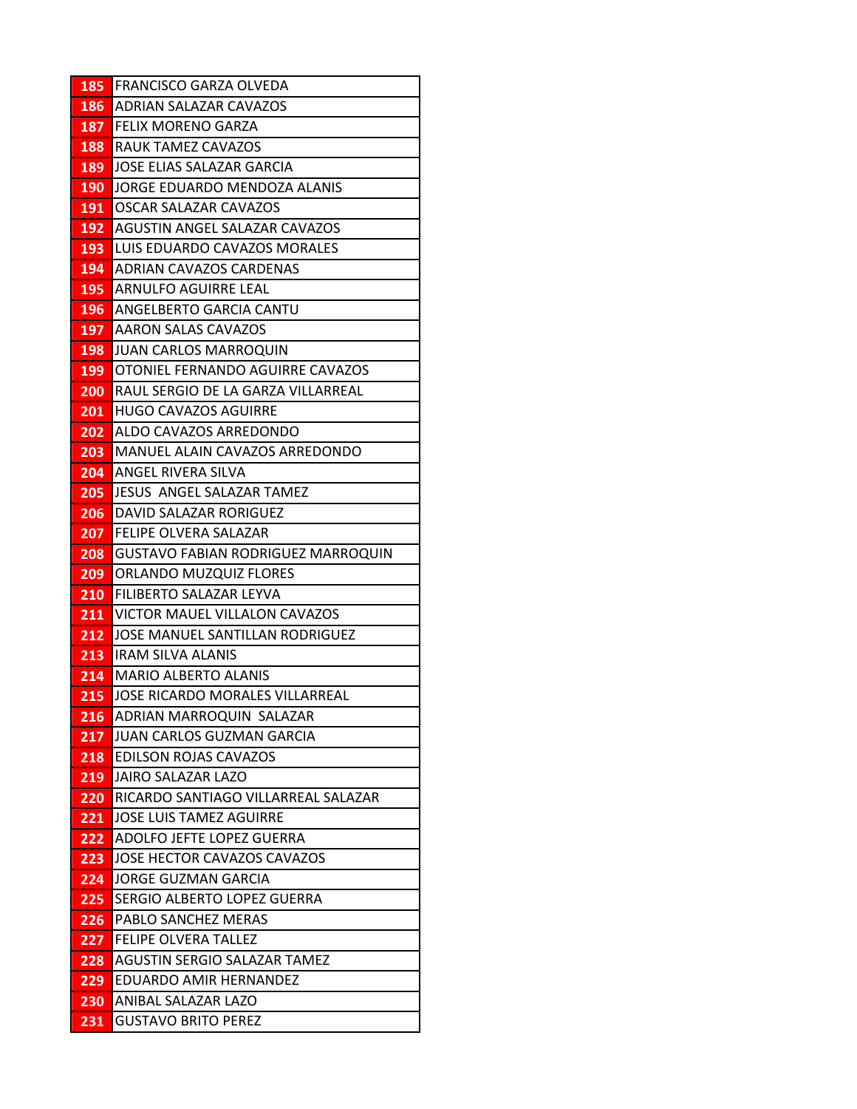| 185        | FRANCISCO GARZA OLVEDA                                    |
|------------|-----------------------------------------------------------|
| 186        | ADRIAN SALAZAR CAVAZOS                                    |
| 187        | <b>FELIX MORENO GARZA</b>                                 |
| 188        | RAUK TAMEZ CAVAZOS                                        |
| 189        | JOSE ELIAS SALAZAR GARCIA                                 |
| 190        | JORGE EDUARDO MENDOZA ALANIS                              |
| 191        | OSCAR SALAZAR CAVAZOS                                     |
| 192        | <b>AGUSTIN ANGEL SALAZAR CAVAZOS</b>                      |
| 193        | LUIS EDUARDO CAVAZOS MORALES                              |
| 194        | <b>ADRIAN CAVAZOS CARDENAS</b>                            |
| 195        | ARNULFO AGUIRRE LEAL                                      |
| 196        | ANGELBERTO GARCIA CANTU                                   |
| 197        | <b>AARON SALAS CAVAZOS</b>                                |
| 198        | JUAN CARLOS MARROQUIN                                     |
| 199        | OTONIEL FERNANDO AGUIRRE CAVAZOS                          |
| 200        | RAUL SERGIO DE LA GARZA VILLARREAL                        |
| 201        | <b>HUGO CAVAZOS AGUIRRE</b>                               |
| 202        | ALDO CAVAZOS ARREDONDO                                    |
| 203        | MANUEL ALAIN CAVAZOS ARREDONDO                            |
| 204        | <b>ANGEL RIVERA SILVA</b>                                 |
| 205        | JESUS ANGEL SALAZAR TAMEZ                                 |
| 206        | DAVID SALAZAR RORIGUEZ                                    |
| 207        | <b>FELIPE OLVERA SALAZAR</b>                              |
| 208        | <b>GUSTAVO FABIAN RODRIGUEZ MARROQUIN</b>                 |
| 209        | ORLANDO MUZQUIZ FLORES                                    |
| 210        | FILIBERTO SALAZAR LEYVA                                   |
| 211        | VICTOR MAUEL VILLALON CAVAZOS                             |
| 212        | JOSE MANUEL SANTILLAN RODRIGUEZ                           |
| 213        | <b>IRAM SILVA ALANIS</b>                                  |
| 214        | <b>MARIO ALBERTO ALANIS</b>                               |
| 215        | JOSE RICARDO MORALES VILLARREAL                           |
| 216        | ADRIAN MARROQUIN SALAZAR                                  |
| 217        | JUAN CARLOS GUZMAN GARCIA<br><b>EDILSON ROJAS CAVAZOS</b> |
| 218        | JAIRO SALAZAR LAZO                                        |
| 219<br>220 | RICARDO SANTIAGO VILLARREAL SALAZAR                       |
| 221        | <b>JOSE LUIS TAMEZ AGUIRRE</b>                            |
| 222        | ADOLFO JEFTE LOPEZ GUERRA                                 |
| 223        | JOSE HECTOR CAVAZOS CAVAZOS                               |
| 224        | <b>JORGE GUZMAN GARCIA</b>                                |
| 225        | SERGIO ALBERTO LOPEZ GUERRA                               |
| 226        | PABLO SANCHEZ MERAS                                       |
| 227        | <b>FELIPE OLVERA TALLEZ</b>                               |
| 228        | AGUSTIN SERGIO SALAZAR TAMEZ                              |
| 229        | EDUARDO AMIR HERNANDEZ                                    |
| 230        | ANIBAL SALAZAR LAZO                                       |
| <u>231</u> | <b>GUSTAVO BRITO PEREZ</b>                                |
|            |                                                           |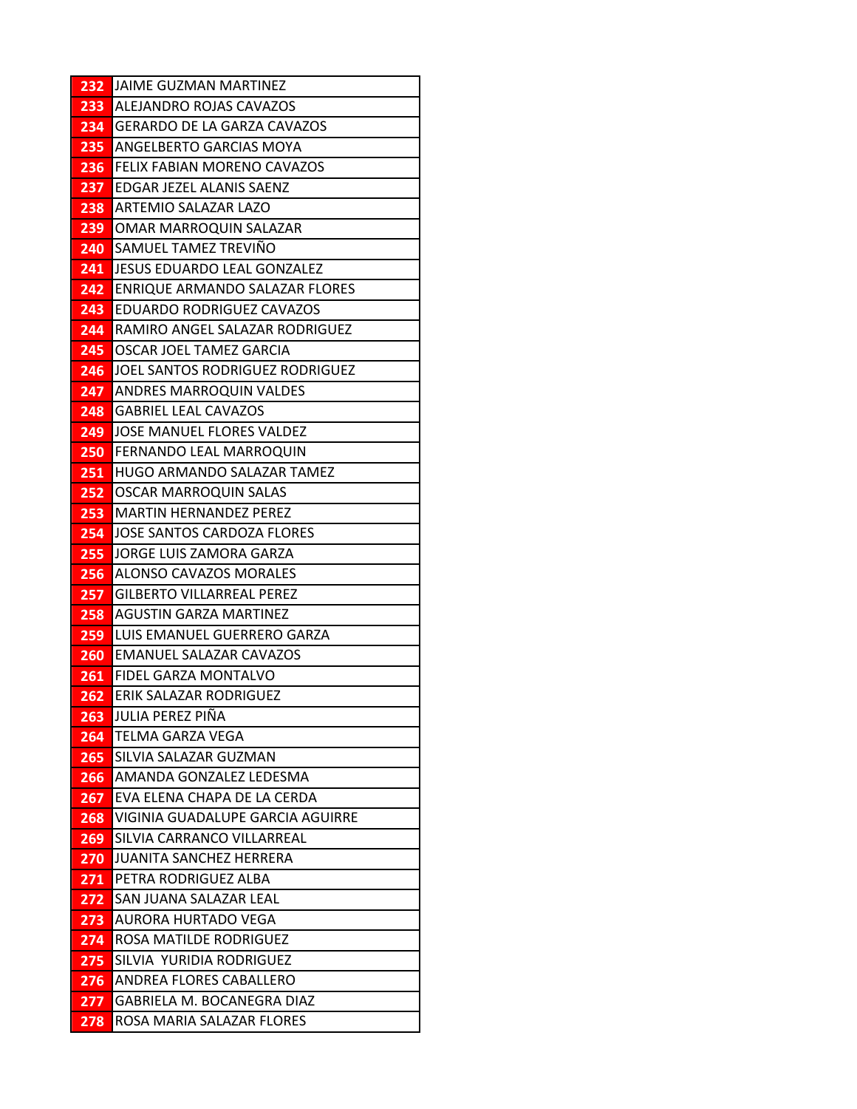| 232        | JAIME GUZMAN MARTINEZ                                  |
|------------|--------------------------------------------------------|
| 233        | ALEJANDRO ROJAS CAVAZOS                                |
| 234        | <b>GERARDO DE LA GARZA CAVAZOS</b>                     |
| 235        | ANGELBERTO GARCIAS MOYA                                |
| 236        | FELIX FABIAN MORENO CAVAZOS                            |
| 237        | EDGAR JEZEL ALANIS SAENZ                               |
| 238        | ARTEMIO SALAZAR LAZO                                   |
| 239        | OMAR MARROQUIN SALAZAR                                 |
| 240        | SAMUEL TAMEZ TREVIÑO                                   |
| 241        | JESUS EDUARDO LEAL GONZALEZ                            |
| 242        | ENRIQUE ARMANDO SALAZAR FLORES                         |
| 243        | <b>EDUARDO RODRIGUEZ CAVAZOS</b>                       |
| 244        | RAMIRO ANGEL SALAZAR RODRIGUEZ                         |
| 245        | OSCAR JOEL TAMEZ GARCIA                                |
| 246        | JOEL SANTOS RODRIGUEZ RODRIGUEZ                        |
| 247        | <b>ANDRES MARROQUIN VALDES</b>                         |
| 248        | <b>GABRIEL LEAL CAVAZOS</b>                            |
| 249        | JOSE MANUEL FLORES VALDEZ                              |
| 250        | FERNANDO LEAL MARROQUIN                                |
| 251        | HUGO ARMANDO SALAZAR TAMEZ                             |
| 252        | OSCAR MARROQUIN SALAS                                  |
| 253        | <b>MARTIN HERNANDEZ PEREZ</b>                          |
| 254        | JOSE SANTOS CARDOZA FLORES                             |
| 255        | JORGE LUIS ZAMORA GARZA                                |
| 256        | ALONSO CAVAZOS MORALES                                 |
| 257        | <b>GILBERTO VILLARREAL PEREZ</b>                       |
| 258        | <b>AGUSTIN GARZA MARTINEZ</b>                          |
| 259        | LUIS EMANUEL GUERRERO GARZA<br>EMANUEL SALAZAR CAVAZOS |
| 260        |                                                        |
| 261        | FIDEL GARZA MONTALVO<br>ERIK SALAZAR RODRIGUEZ         |
| 262<br>263 | JULIA PEREZ PIÑA                                       |
| 264        | TELMA GARZA VEGA                                       |
| 265        | SILVIA SALAZAR GUZMAN                                  |
| 266        | AMANDA GONZALEZ LEDESMA                                |
| 267        | EVA ELENA CHAPA DE LA CERDA                            |
| 268        | VIGINIA GUADALUPE GARCIA AGUIRRE                       |
| 269        | SILVIA CARRANCO VILLARREAL                             |
| 270        | <b>JUANITA SANCHEZ HERRERA</b>                         |
| 271        | PETRA RODRIGUEZ ALBA                                   |
| 272        | SAN JUANA SALAZAR LEAL                                 |
| 273        | AURORA HURTADO VEGA                                    |
| 274        | ROSA MATILDE RODRIGUEZ                                 |
| 275        | SILVIA YURIDIA RODRIGUEZ                               |
| 276        | ANDREA FLORES CABALLERO                                |
| 277        | GABRIELA M. BOCANEGRA DIAZ                             |
| 278        | ROSA MARIA SALAZAR FLORES                              |
|            |                                                        |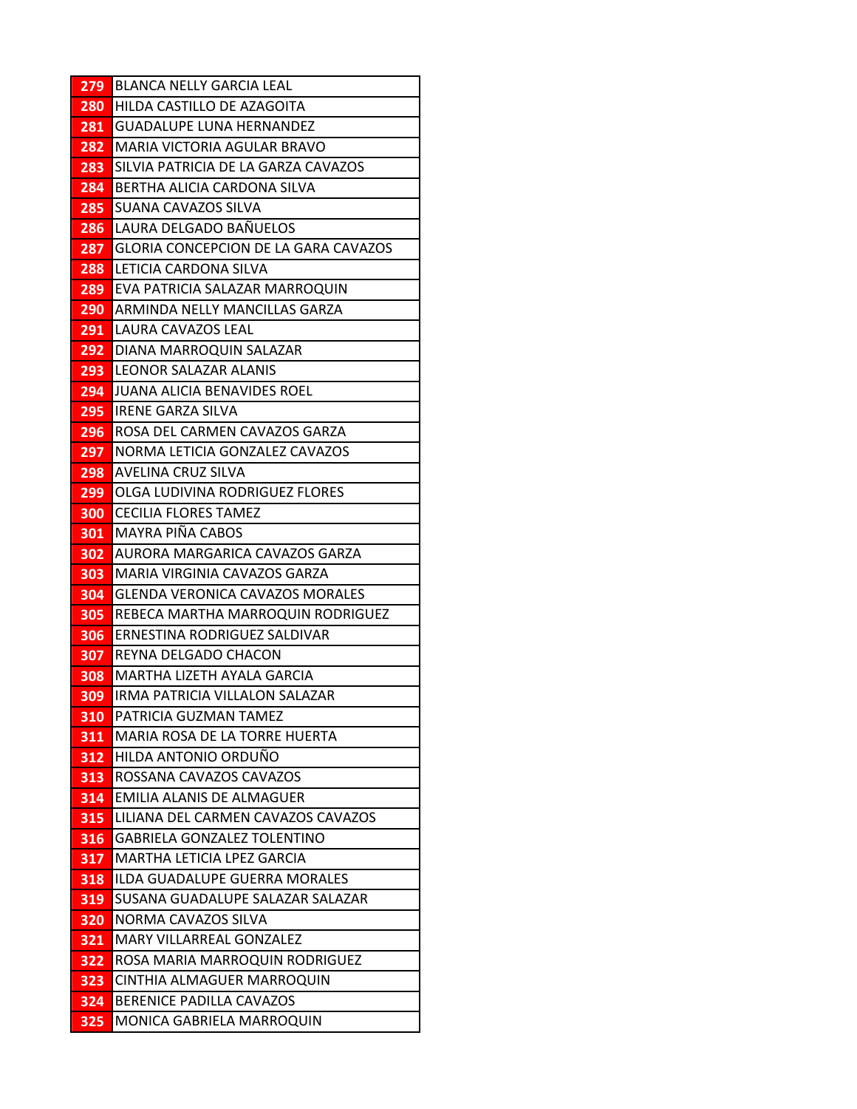| 279        | <b>BLANCA NELLY GARCIA LEAL</b>                                          |
|------------|--------------------------------------------------------------------------|
| 280        | HILDA CASTILLO DE AZAGOITA                                               |
| 281        | <b>GUADALUPE LUNA HERNANDEZ</b>                                          |
| 282        | MARIA VICTORIA AGULAR BRAVO                                              |
| 283        | SILVIA PATRICIA DE LA GARZA CAVAZOS                                      |
| 284        | BERTHA ALICIA CARDONA SILVA                                              |
| 285        | SUANA CAVAZOS SILVA                                                      |
| 286        | LAURA DELGADO BAÑUELOS                                                   |
| 287        | GLORIA CONCEPCION DE LA GARA CAVAZOS                                     |
| 288        | LETICIA CARDONA SILVA                                                    |
| 289        | EVA PATRICIA SALAZAR MARROQUIN                                           |
| 290        | ARMINDA NELLY MANCILLAS GARZA                                            |
| 291        | LAURA CAVAZOS LEAL                                                       |
| 292        | DIANA MARROQUIN SALAZAR                                                  |
| 293        | <b>LEONOR SALAZAR ALANIS</b>                                             |
| 294        | JUANA ALICIA BENAVIDES ROEL                                              |
| 295        | <b>IRENE GARZA SILVA</b>                                                 |
| 296        | ROSA DEL CARMEN CAVAZOS GARZA                                            |
| 297        | NORMA LETICIA GONZALEZ CAVAZOS                                           |
| 298        | AVELINA CRUZ SILVA                                                       |
| 299        | OLGA LUDIVINA RODRIGUEZ FLORES                                           |
| 300        | <b>CECILIA FLORES TAMEZ</b>                                              |
| 301        | <b>MAYRA PIÑA CABOS</b>                                                  |
| 302        | AURORA MARGARICA CAVAZOS GARZA                                           |
| 303        | MARIA VIRGINIA CAVAZOS GARZA                                             |
| 304        | <b>GLENDA VERONICA CAVAZOS MORALES</b>                                   |
| 305        | REBECA MARTHA MARROQUIN RODRIGUEZ                                        |
| 306        | ERNESTINA RODRIGUEZ SALDIVAR                                             |
| 307        | REYNA DELGADO CHACON                                                     |
| 308        | MARTHA LIZETH AYALA GARCIA                                               |
| 309        | IRMA PATRICIA VILLALON SALAZAR                                           |
| 310        | PATRICIA GUZMAN TAMEZ                                                    |
| 311        | MARIA ROSA DE LA TORRE HUERTA                                            |
| 312        | HILDA ANTONIO ORDUÑO                                                     |
| 313        | ROSSANA CAVAZOS CAVAZOS                                                  |
| 314        | <b>EMILIA ALANIS DE ALMAGUER</b>                                         |
| 315        | LILIANA DEL CARMEN CAVAZOS CAVAZOS<br><b>GABRIELA GONZALEZ TOLENTINO</b> |
| 316<br>317 | <b>MARTHA LETICIA LPEZ GARCIA</b>                                        |
| 318        | <b>ILDA GUADALUPE GUERRA MORALES</b>                                     |
| 319        | SUSANA GUADALUPE SALAZAR SALAZAR                                         |
|            | NORMA CAVAZOS SILVA                                                      |
| 320<br>321 | <b>MARY VILLARREAL GONZALEZ</b>                                          |
| 322        | ROSA MARIA MARROQUIN RODRIGUEZ                                           |
| 323        | CINTHIA ALMAGUER MARROQUIN                                               |
| 324        | BERENICE PADILLA CAVAZOS                                                 |
| 325        | MONICA GABRIELA MARROQUIN                                                |
|            |                                                                          |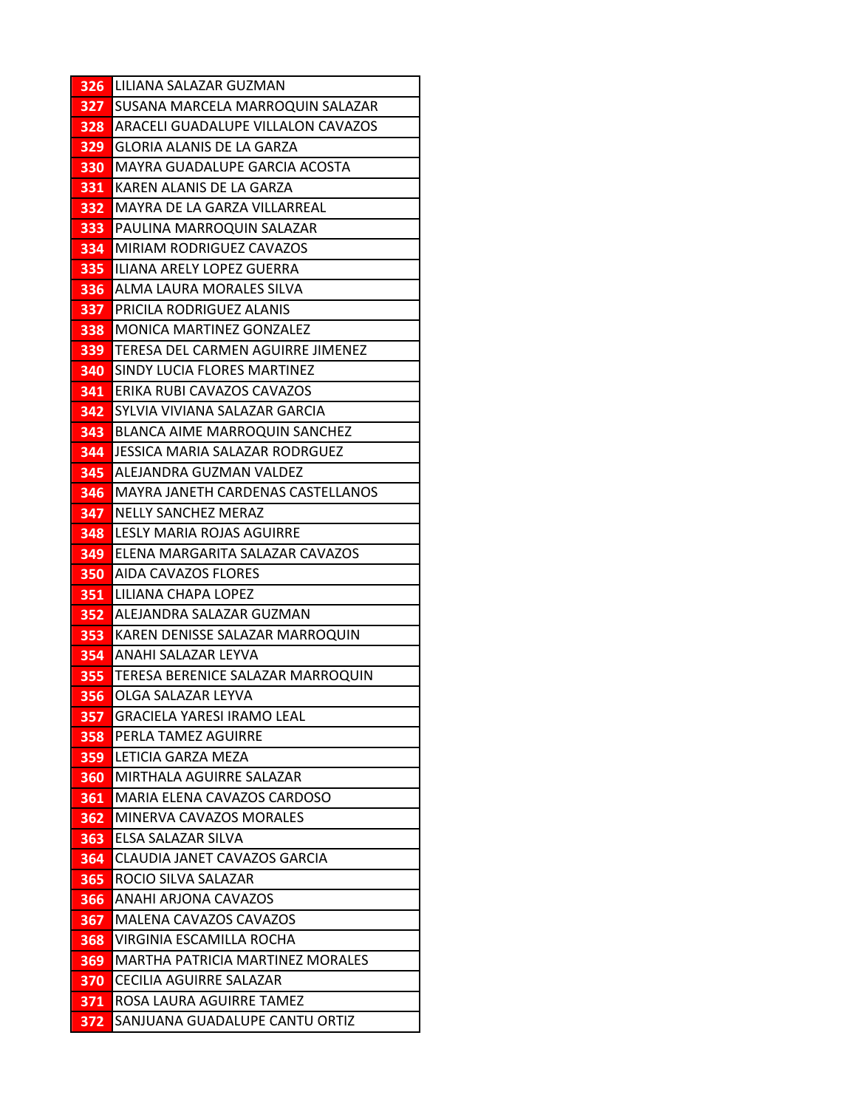| SUSANA MARCELA MARROQUIN SALAZAR<br>327          |  |
|--------------------------------------------------|--|
|                                                  |  |
| <b>ARACELI GUADALUPE VILLALON CAVAZOS</b><br>328 |  |
| <b>GLORIA ALANIS DE LA GARZA</b><br>329          |  |
| MAYRA GUADALUPE GARCIA ACOSTA<br>330             |  |
| KAREN ALANIS DE LA GARZA<br>331                  |  |
| MAYRA DE LA GARZA VILLARREAL<br>332              |  |
| PAULINA MARROQUIN SALAZAR<br>333                 |  |
| MIRIAM RODRIGUEZ CAVAZOS<br>334                  |  |
| ILIANA ARELY LOPEZ GUERRA<br>335                 |  |
| ALMA LAURA MORALES SILVA<br>336                  |  |
| <b>PRICILA RODRIGUEZ ALANIS</b><br>337           |  |
| <b>MONICA MARTINEZ GONZALEZ</b><br>338           |  |
| TERESA DEL CARMEN AGUIRRE JIMENEZ<br>339         |  |
| SINDY LUCIA FLORES MARTINEZ<br>340               |  |
| ERIKA RUBI CAVAZOS CAVAZOS<br>341                |  |
| SYLVIA VIVIANA SALAZAR GARCIA<br>342             |  |
| <b>BLANCA AIME MARROQUIN SANCHEZ</b><br>343      |  |
| JESSICA MARIA SALAZAR RODRGUEZ<br>344            |  |
| 345<br>ALEJANDRA GUZMAN VALDEZ                   |  |
| MAYRA JANETH CARDENAS CASTELLANOS<br>346         |  |
| <b>NELLY SANCHEZ MERAZ</b><br>347                |  |
| LESLY MARIA ROJAS AGUIRRE<br>348                 |  |
| ELENA MARGARITA SALAZAR CAVAZOS<br>349           |  |
| AIDA CAVAZOS FLORES<br>350                       |  |
| LILIANA CHAPA LOPEZ<br>351                       |  |
| ALEJANDRA SALAZAR GUZMAN<br>352                  |  |
| KAREN DENISSE SALAZAR MARROQUIN<br>353           |  |
| 354<br>ANAHI SALAZAR LEYVA                       |  |
| TERESA BERENICE SALAZAR MARROQUIN<br>355         |  |
| OLGA SALAZAR LEYVA<br>356                        |  |
| 357<br><b>GRACIELA YARESI IRAMO LEAL</b>         |  |
| PERLA TAMEZ AGUIRRE<br>358<br>LETICIA GARZA MEZA |  |
| 359<br>MIRTHALA AGUIRRE SALAZAR                  |  |
| 360<br>MARIA ELENA CAVAZOS CARDOSO<br>361        |  |
| MINERVA CAVAZOS MORALES<br>362                   |  |
| ELSA SALAZAR SILVA<br>363                        |  |
| CLAUDIA JANET CAVAZOS GARCIA<br>364              |  |
| ROCIO SILVA SALAZAR<br>365                       |  |
| ANAHI ARJONA CAVAZOS<br>366                      |  |
| MALENA CAVAZOS CAVAZOS<br>367                    |  |
| VIRGINIA ESCAMILLA ROCHA<br>368                  |  |
| MARTHA PATRICIA MARTINEZ MORALES<br>369          |  |
| 370<br>CECILIA AGUIRRE SALAZAR                   |  |
|                                                  |  |
| ROSA LAURA AGUIRRE TAMEZ<br>371                  |  |